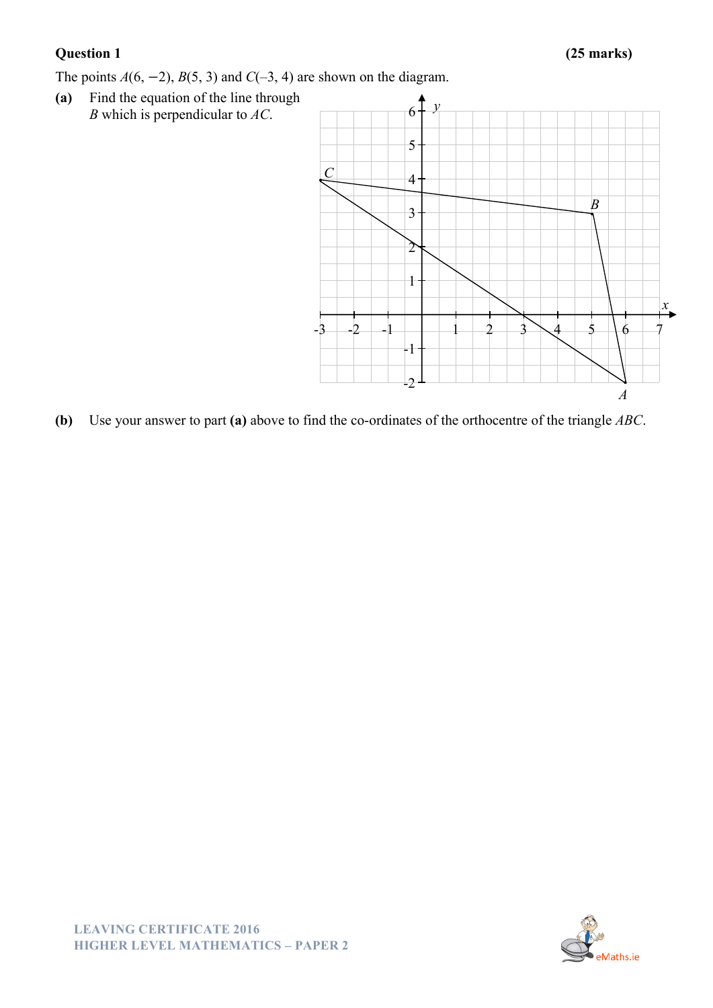The points  $A(6, -2)$ ,  $B(5, 3)$  and  $C(-3, 4)$  are shown on the diagram.

**(a)** Find the equation of the line through *B* which is perpendicular to *AC*.



**(b)** Use your answer to part **(a)** above to find the co-ordinates of the orthocentre of the triangle *ABC*.